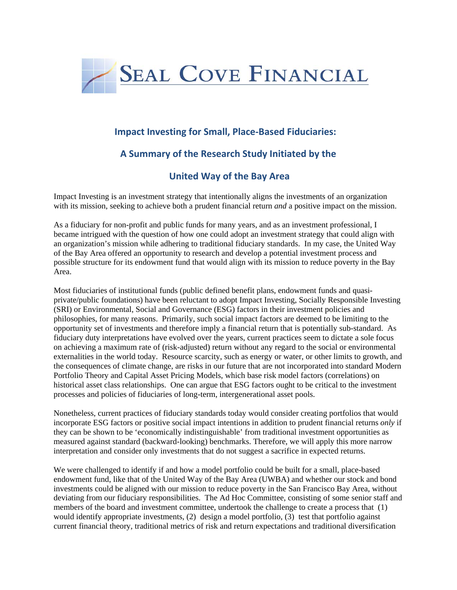

## **Impact Investing for Small, Place-Based Fiduciaries:**

# **A Summary of the Research Study Initiated by the**

## **United Way of the Bay Area**

Impact Investing is an investment strategy that intentionally aligns the investments of an organization with its mission, seeking to achieve both a prudent financial return *and* a positive impact on the mission.

As a fiduciary for non-profit and public funds for many years, and as an investment professional, I became intrigued with the question of how one could adopt an investment strategy that could align with an organization's mission while adhering to traditional fiduciary standards. In my case, the United Way of the Bay Area offered an opportunity to research and develop a potential investment process and possible structure for its endowment fund that would align with its mission to reduce poverty in the Bay Area.

Most fiduciaries of institutional funds (public defined benefit plans, endowment funds and quasiprivate/public foundations) have been reluctant to adopt Impact Investing, Socially Responsible Investing (SRI) or Environmental, Social and Governance (ESG) factors in their investment policies and philosophies, for many reasons. Primarily, such social impact factors are deemed to be limiting to the opportunity set of investments and therefore imply a financial return that is potentially sub-standard. As fiduciary duty interpretations have evolved over the years, current practices seem to dictate a sole focus on achieving a maximum rate of (risk-adjusted) return without any regard to the social or environmental externalities in the world today. Resource scarcity, such as energy or water, or other limits to growth, and the consequences of climate change, are risks in our future that are not incorporated into standard Modern Portfolio Theory and Capital Asset Pricing Models, which base risk model factors (correlations) on historical asset class relationships. One can argue that ESG factors ought to be critical to the investment processes and policies of fiduciaries of long-term, intergenerational asset pools.

Nonetheless, current practices of fiduciary standards today would consider creating portfolios that would incorporate ESG factors or positive social impact intentions in addition to prudent financial returns *only* if they can be shown to be 'economically indistinguishable' from traditional investment opportunities as measured against standard (backward-looking) benchmarks. Therefore, we will apply this more narrow interpretation and consider only investments that do not suggest a sacrifice in expected returns.

We were challenged to identify if and how a model portfolio could be built for a small, place-based endowment fund, like that of the United Way of the Bay Area (UWBA) and whether our stock and bond investments could be aligned with our mission to reduce poverty in the San Francisco Bay Area, without deviating from our fiduciary responsibilities. The Ad Hoc Committee, consisting of some senior staff and members of the board and investment committee, undertook the challenge to create a process that (1) would identify appropriate investments, (2) design a model portfolio, (3) test that portfolio against current financial theory, traditional metrics of risk and return expectations and traditional diversification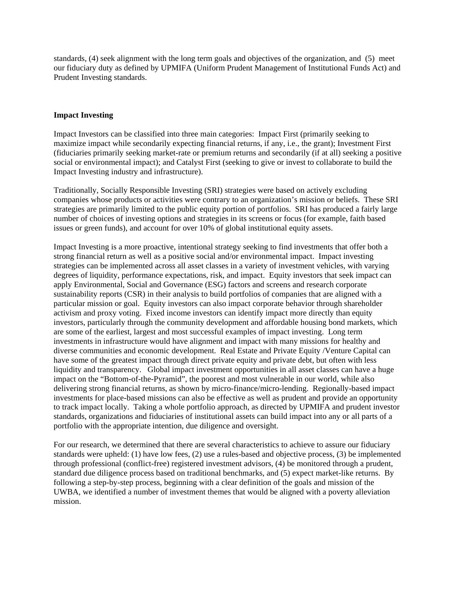standards, (4) seek alignment with the long term goals and objectives of the organization, and (5) meet our fiduciary duty as defined by UPMIFA (Uniform Prudent Management of Institutional Funds Act) and Prudent Investing standards.

## **Impact Investing**

Impact Investors can be classified into three main categories: Impact First (primarily seeking to maximize impact while secondarily expecting financial returns, if any, i.e., the grant); Investment First (fiduciaries primarily seeking market-rate or premium returns and secondarily (if at all) seeking a positive social or environmental impact); and Catalyst First (seeking to give or invest to collaborate to build the Impact Investing industry and infrastructure).

Traditionally, Socially Responsible Investing (SRI) strategies were based on actively excluding companies whose products or activities were contrary to an organization's mission or beliefs. These SRI strategies are primarily limited to the public equity portion of portfolios. SRI has produced a fairly large number of choices of investing options and strategies in its screens or focus (for example, faith based issues or green funds), and account for over 10% of global institutional equity assets.

Impact Investing is a more proactive, intentional strategy seeking to find investments that offer both a strong financial return as well as a positive social and/or environmental impact. Impact investing strategies can be implemented across all asset classes in a variety of investment vehicles, with varying degrees of liquidity, performance expectations, risk, and impact. Equity investors that seek impact can apply Environmental, Social and Governance (ESG) factors and screens and research corporate sustainability reports (CSR) in their analysis to build portfolios of companies that are aligned with a particular mission or goal. Equity investors can also impact corporate behavior through shareholder activism and proxy voting. Fixed income investors can identify impact more directly than equity investors, particularly through the community development and affordable housing bond markets, which are some of the earliest, largest and most successful examples of impact investing. Long term investments in infrastructure would have alignment and impact with many missions for healthy and diverse communities and economic development. Real Estate and Private Equity /Venture Capital can have some of the greatest impact through direct private equity and private debt, but often with less liquidity and transparency. Global impact investment opportunities in all asset classes can have a huge impact on the "Bottom-of-the-Pyramid", the poorest and most vulnerable in our world, while also delivering strong financial returns, as shown by micro-finance/micro-lending. Regionally-based impact investments for place-based missions can also be effective as well as prudent and provide an opportunity to track impact locally. Taking a whole portfolio approach, as directed by UPMIFA and prudent investor standards, organizations and fiduciaries of institutional assets can build impact into any or all parts of a portfolio with the appropriate intention, due diligence and oversight.

For our research, we determined that there are several characteristics to achieve to assure our fiduciary standards were upheld: (1) have low fees, (2) use a rules-based and objective process, (3) be implemented through professional (conflict-free) registered investment advisors, (4) be monitored through a prudent, standard due diligence process based on traditional benchmarks, and (5) expect market-like returns. By following a step-by-step process, beginning with a clear definition of the goals and mission of the UWBA, we identified a number of investment themes that would be aligned with a poverty alleviation mission.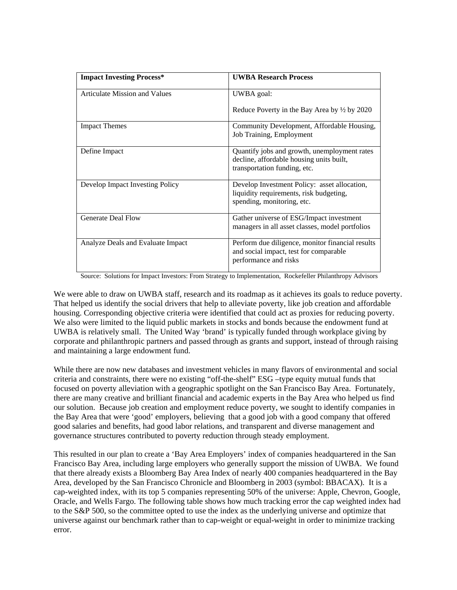| <b>Impact Investing Process*</b>     | <b>UWBA Research Process</b>                                                                                             |
|--------------------------------------|--------------------------------------------------------------------------------------------------------------------------|
| <b>Articulate Mission and Values</b> | UWBA goal:                                                                                                               |
|                                      | Reduce Poverty in the Bay Area by $\frac{1}{2}$ by 2020                                                                  |
| <b>Impact Themes</b>                 | Community Development, Affordable Housing,<br>Job Training, Employment                                                   |
| Define Impact                        | Quantify jobs and growth, unemployment rates<br>decline, affordable housing units built,<br>transportation funding, etc. |
| Develop Impact Investing Policy      | Develop Investment Policy: asset allocation,<br>liquidity requirements, risk budgeting,<br>spending, monitoring, etc.    |
| <b>Generate Deal Flow</b>            | Gather universe of ESG/Impact investment<br>managers in all asset classes, model portfolios                              |
| Analyze Deals and Evaluate Impact    | Perform due diligence, monitor financial results<br>and social impact, test for comparable<br>performance and risks      |

Source: Solutions for Impact Investors: From Strategy to Implementation, Rockefeller Philanthropy Advisors

We were able to draw on UWBA staff, research and its roadmap as it achieves its goals to reduce poverty. That helped us identify the social drivers that help to alleviate poverty, like job creation and affordable housing. Corresponding objective criteria were identified that could act as proxies for reducing poverty. We also were limited to the liquid public markets in stocks and bonds because the endowment fund at UWBA is relatively small. The United Way 'brand' is typically funded through workplace giving by corporate and philanthropic partners and passed through as grants and support, instead of through raising and maintaining a large endowment fund.

While there are now new databases and investment vehicles in many flavors of environmental and social criteria and constraints, there were no existing "off-the-shelf" ESG –type equity mutual funds that focused on poverty alleviation with a geographic spotlight on the San Francisco Bay Area. Fortunately, there are many creative and brilliant financial and academic experts in the Bay Area who helped us find our solution. Because job creation and employment reduce poverty, we sought to identify companies in the Bay Area that were 'good' employers, believing that a good job with a good company that offered good salaries and benefits, had good labor relations, and transparent and diverse management and governance structures contributed to poverty reduction through steady employment.

This resulted in our plan to create a 'Bay Area Employers' index of companies headquartered in the San Francisco Bay Area, including large employers who generally support the mission of UWBA. We found that there already exists a Bloomberg Bay Area Index of nearly 400 companies headquartered in the Bay Area, developed by the San Francisco Chronicle and Bloomberg in 2003 (symbol: BBACAX). It is a cap-weighted index, with its top 5 companies representing 50% of the universe: Apple, Chevron, Google, Oracle, and Wells Fargo. The following table shows how much tracking error the cap weighted index had to the S&P 500, so the committee opted to use the index as the underlying universe and optimize that universe against our benchmark rather than to cap-weight or equal-weight in order to minimize tracking error.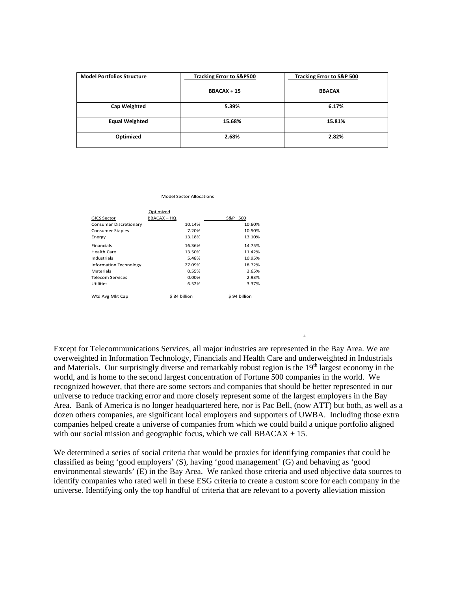| <b>Model Portfolios Structure</b> | <b>Tracking Error to S&amp;P500</b> | <b>Tracking Error to S&amp;P 500</b> |
|-----------------------------------|-------------------------------------|--------------------------------------|
|                                   | <b>BBACAX + 15</b>                  | <b>BBACAX</b>                        |
| <b>Cap Weighted</b>               | 5.39%                               | 6.17%                                |
| <b>Equal Weighted</b>             | 15.68%                              | 15.81%                               |
| Optimized                         | 2.68%                               | 2.82%                                |

Model Sector Allocations

|                         | Optimized        |              |
|-------------------------|------------------|--------------|
| <b>GICS Sector</b>      | <b>BBACAX-HQ</b> | S&P 500      |
| Consumer Discretionary  | 10.14%           | 10.60%       |
| <b>Consumer Staples</b> | 7.20%            | 10.50%       |
| Energy                  | 13.18%           | 13.10%       |
| <b>Financials</b>       | 16.36%           | 14.75%       |
| Health Care             | 13.50%           | 11.42%       |
| Industrials             | 5.48%            | 10.95%       |
| Information Technology  | 27.09%           | 18.72%       |
| <b>Materials</b>        | 0.55%            | 3.65%        |
| <b>Telecom Services</b> | 0.00%            | 2.93%        |
| <b>Utilities</b>        | 6.52%            | 3.37%        |
| Wtd Avg Mkt Cap         | \$84 billion     | \$94 billion |

Except for Telecommunications Services, all major industries are represented in the Bay Area. We are overweighted in Information Technology, Financials and Health Care and underweighted in Industrials and Materials. Our surprisingly diverse and remarkably robust region is the 19<sup>th</sup> largest economy in the world, and is home to the second largest concentration of Fortune 500 companies in the world. We recognized however, that there are some sectors and companies that should be better represented in our universe to reduce tracking error and more closely represent some of the largest employers in the Bay Area. Bank of America is no longer headquartered here, nor is Pac Bell, (now ATT) but both, as well as a dozen others companies, are significant local employers and supporters of UWBA. Including those extra companies helped create a universe of companies from which we could build a unique portfolio aligned with our social mission and geographic focus, which we call  $BBACAX + 15$ .

4

We determined a series of social criteria that would be proxies for identifying companies that could be classified as being 'good employers' (S), having 'good management' (G) and behaving as 'good environmental stewards' (E) in the Bay Area. We ranked those criteria and used objective data sources to identify companies who rated well in these ESG criteria to create a custom score for each company in the universe. Identifying only the top handful of criteria that are relevant to a poverty alleviation mission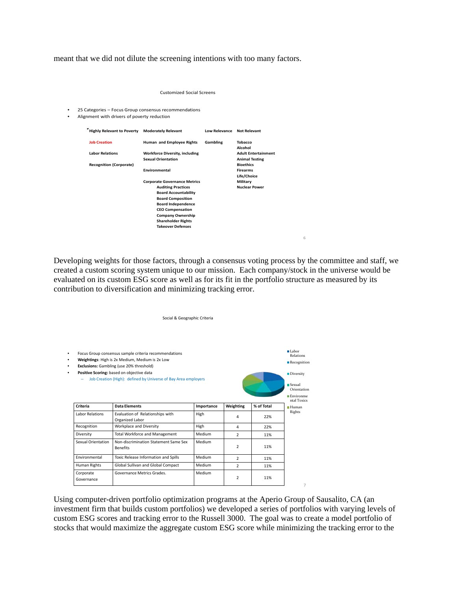meant that we did not dilute the screening intentions with too many factors.

|        | <b>Customized Social Screens</b>                                                                     |                                                                                                                                                                                                                                                                          |                            |                                           |  |  |  |
|--------|------------------------------------------------------------------------------------------------------|--------------------------------------------------------------------------------------------------------------------------------------------------------------------------------------------------------------------------------------------------------------------------|----------------------------|-------------------------------------------|--|--|--|
| ٠<br>۰ | 25 Categories - Focus Group consensus recommendations<br>Alignment with drivers of poverty reduction |                                                                                                                                                                                                                                                                          |                            |                                           |  |  |  |
|        | <b>Highly Relevant to Poverty</b>                                                                    | <b>Moderately Relevant</b>                                                                                                                                                                                                                                               | Low Relevance Not Relevant |                                           |  |  |  |
|        | <b>Job Creation</b>                                                                                  | Human and Employee Rights                                                                                                                                                                                                                                                | Gambling                   | Tobacco<br>Alcohol                        |  |  |  |
|        | <b>Labor Relations</b>                                                                               | <b>Workforce Diversity, including</b>                                                                                                                                                                                                                                    |                            | <b>Adult Entertainment</b>                |  |  |  |
|        | <b>Recognition (Corporate)</b>                                                                       | <b>Sexual Orientation</b>                                                                                                                                                                                                                                                |                            | <b>Animal Testing</b><br><b>Bioethics</b> |  |  |  |
|        |                                                                                                      | Environmental                                                                                                                                                                                                                                                            |                            | <b>Firearms</b><br>Life/Choice            |  |  |  |
|        |                                                                                                      | <b>Corporate Governance Metrics</b><br><b>Auditing Practices</b><br><b>Board Accountability</b><br><b>Board Composition</b><br><b>Board Independence</b><br><b>CEO Compensation</b><br><b>Company Ownership</b><br><b>Shareholder Rights</b><br><b>Takeover Defenses</b> |                            | Military<br><b>Nuclear Power</b>          |  |  |  |

Developing weights for those factors, through a consensus voting process by the committee and staff, we created a custom scoring system unique to our mission. Each company/stock in the universe would be evaluated on its custom ESG score as well as for its fit in the portfolio structure as measured by its contribution to diversification and minimizing tracking error.

6

|                    |                                                                                                                                                                                                                                                                     | Social & Geographic Criteria |                |            |                                                                                            |
|--------------------|---------------------------------------------------------------------------------------------------------------------------------------------------------------------------------------------------------------------------------------------------------------------|------------------------------|----------------|------------|--------------------------------------------------------------------------------------------|
|                    | Focus Group consensus sample criteria recommendations<br>Weightings: High is 2x Medium, Medium is 2x Low<br>Exclusions: Gambling (use 20% threshold)<br>Positive Scoring: based on objective data<br>Job Creation (High): defined by Universe of Bay Area employers |                              |                |            | $\blacksquare$ Labor<br><b>Relations</b><br>$\blacksquare$ Recognition<br><b>Diversity</b> |
|                    |                                                                                                                                                                                                                                                                     |                              |                |            | S <sub>exual</sub><br>Orientation<br>$\blacksquare$ Environme<br>ntal Toxics               |
|                    |                                                                                                                                                                                                                                                                     |                              |                |            |                                                                                            |
| Criteria           | <b>Data Elements</b>                                                                                                                                                                                                                                                | Importance                   | Weighting      | % of Total | Human                                                                                      |
| Labor Relations    | Evaluation of Relationships with<br>Organized Labor                                                                                                                                                                                                                 | High                         | 4              | 22%        |                                                                                            |
| Recognition        | Workplace and Diversity                                                                                                                                                                                                                                             | High                         | 4              | 22%        |                                                                                            |
| Diversity          | Total Workforce and Management                                                                                                                                                                                                                                      | Medium                       | $\overline{2}$ | 11%        |                                                                                            |
| Sexual Orientation | Non-discrimination Statement Same Sex<br><b>Benefits</b>                                                                                                                                                                                                            | Medium                       | $\overline{2}$ | 11%        | Rights                                                                                     |
| Fnvironmental      | Toxic Release Information and Spills                                                                                                                                                                                                                                | Medium                       | $\overline{2}$ | 11%        |                                                                                            |
| Human Rights       | Global Sullivan and Global Compact                                                                                                                                                                                                                                  | Medium                       | $\overline{2}$ | 11%        |                                                                                            |

Using computer-driven portfolio optimization programs at the Aperio Group of Sausalito, CA (an investment firm that builds custom portfolios) we developed a series of portfolios with varying levels of custom ESG scores and tracking error to the Russell 3000. The goal was to create a model portfolio of stocks that would maximize the aggregate custom ESG score while minimizing the tracking error to the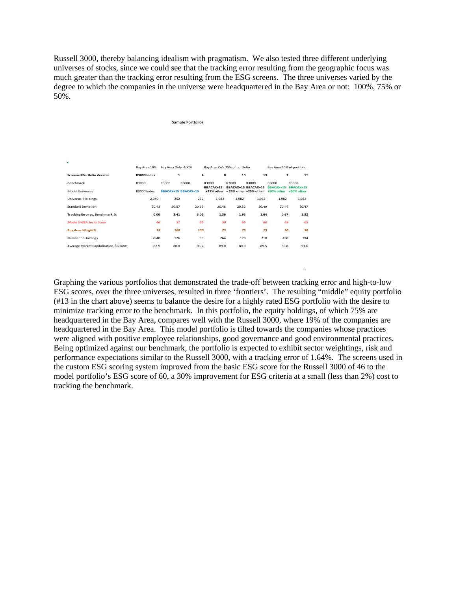Russell 3000, thereby balancing idealism with pragmatism. We also tested three different underlying universes of stocks, since we could see that the tracking error resulting from the geographic focus was much greater than the tracking error resulting from the ESG screens. The three universes varied by the degree to which the companies in the universe were headquartered in the Bay Area or not: 100%, 75% or 50%.

| Sample Portfolios                         |              |                            |       |                                |                              |                                             |                           |                           |
|-------------------------------------------|--------------|----------------------------|-------|--------------------------------|------------------------------|---------------------------------------------|---------------------------|---------------------------|
|                                           |              |                            |       |                                |                              |                                             |                           |                           |
|                                           |              |                            |       |                                |                              |                                             |                           |                           |
|                                           |              |                            |       |                                |                              |                                             |                           |                           |
| ÷                                         |              |                            |       |                                |                              |                                             |                           |                           |
|                                           | Bay Area 19% | Bay Area Only -100%        |       | Bay Area Co's 75% of portfolio |                              |                                             | Bay Area 50% of portfolio |                           |
| <b>Screened Portfolio Version</b>         | R3000 Index  | $\mathbf{1}$               | 4     | 8                              | 10                           | 13                                          | $\overline{ }$            | 11                        |
| Benchmark                                 | R3000        | R3000                      | R3000 | R3000<br>BBACAX+15             | R3000<br>BBACAX+15 BBACAX+15 | R3000                                       | R3000<br>BBACAX+15        | R3000<br><b>BBACAX+15</b> |
| <b>Model Universes</b>                    | R3000 Index  | <b>BBACAX+15 BBACAX+15</b> |       |                                |                              | +25% other +25% other +25% other +50% other |                           | +50% other                |
| Universe - Holdings                       | 2,940        | 252                        | 252   | 1,982                          | 1,982                        | 1,982                                       | 1,982                     | 1,982                     |
| <b>Standard Deviation</b>                 | 20.43        | 20.57                      | 20.65 | 20.48                          | 20.52                        | 20.49                                       | 20.44                     | 20.47                     |
| Tracking Error vs. Benchmark, %           | 0.00         | 2.41                       | 3.02  | 1.36                           | 1.95                         | 1.64                                        | 0.67                      | 1.32                      |
| <b>Model UWBA Social Score</b>            | 46           | 51                         | 65    | 50                             | 65                           | 60                                          | 49                        | 65                        |
| <b>Bay Area Weight%</b>                   | 19           | 100                        | 100   | 75                             | 75                           | 75                                          | 50                        | 50                        |
| Number of Holdings                        | 2940         | 126                        | 99    | 264                            | 178                          | 210                                         | 450                       | 294                       |
| Average Market Capitalization, \$Billions | 87.9         | 80.0                       | 93.2  | 89.0                           | 89.0                         | 89.5                                        | 89.8                      | 91.6                      |
|                                           |              |                            |       |                                |                              |                                             |                           |                           |

Graphing the various portfolios that demonstrated the trade-off between tracking error and high-to-low ESG scores, over the three universes, resulted in three 'frontiers'. The resulting "middle" equity portfolio (#13 in the chart above) seems to balance the desire for a highly rated ESG portfolio with the desire to minimize tracking error to the benchmark. In this portfolio, the equity holdings, of which 75% are headquartered in the Bay Area, compares well with the Russell 3000, where 19% of the companies are headquartered in the Bay Area. This model portfolio is tilted towards the companies whose practices were aligned with positive employee relationships, good governance and good environmental practices. Being optimized against our benchmark, the portfolio is expected to exhibit sector weightings, risk and performance expectations similar to the Russell 3000, with a tracking error of 1.64%. The screens used in the custom ESG scoring system improved from the basic ESG score for the Russell 3000 of 46 to the model portfolio's ESG score of 60, a 30% improvement for ESG criteria at a small (less than 2%) cost to tracking the benchmark.

8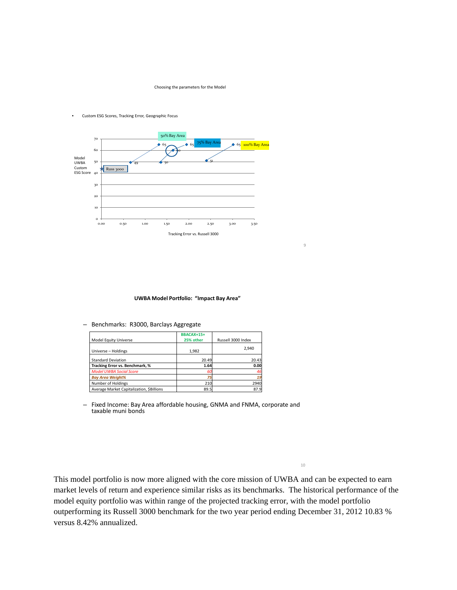Choosing the parameters for the Model



#### • Custom ESG Scores, Tracking Error, Geographic Focus

### **UWBA Model Portfolio: "Impact Bay Area"**

– Benchmarks: R3000, Barclays Aggregate

| Model Equity Universe                    | <b>BBACAX+15+</b><br>25% other | Russell 3000 Index |
|------------------------------------------|--------------------------------|--------------------|
| Universe - Holdings                      | 1,982                          | 2.940              |
| <b>Standard Deviation</b>                | 20.49                          | 20.43              |
| Tracking Error vs. Benchmark, %          | 1.64                           | 0.00               |
| <b>Model UWBA Social Score</b>           | 60                             | 46                 |
| <b>Bay Area Weight%</b>                  | 75                             | 19                 |
| Number of Holdings                       | 210                            | 2940               |
| Average Market Capitalization, SBillions | 89.5                           | 87.9               |

– Fixed Income: Bay Area affordable housing, GNMA and FNMA, corporate and taxable muni bonds

10

9

This model portfolio is now more aligned with the core mission of UWBA and can be expected to earn market levels of return and experience similar risks as its benchmarks. The historical performance of the model equity portfolio was within range of the projected tracking error, with the model portfolio outperforming its Russell 3000 benchmark for the two year period ending December 31, 2012 10.83 % versus 8.42% annualized.